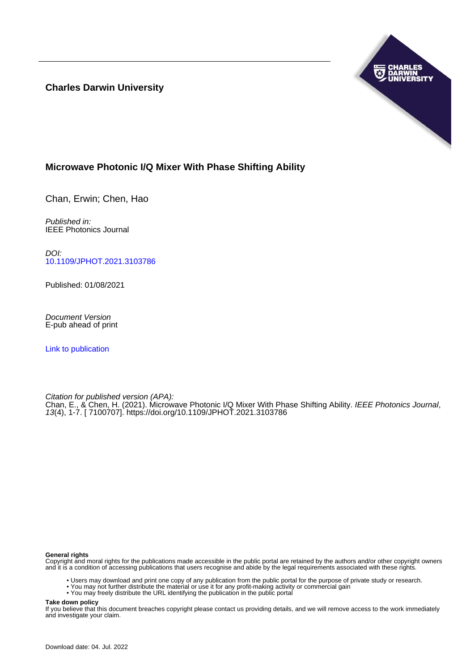**Charles Darwin University**



# **Microwave Photonic I/Q Mixer With Phase Shifting Ability**

Chan, Erwin; Chen, Hao

Published in: IEEE Photonics Journal

DOI: [10.1109/JPHOT.2021.3103786](https://doi.org/10.1109/JPHOT.2021.3103786)

Published: 01/08/2021

Document Version E-pub ahead of print

[Link to publication](https://researchers.cdu.edu.au/en/publications/a9bd3e98-1645-4993-90c0-5f5549437a18)

Citation for published version (APA): Chan, E., & Chen, H. (2021). Microwave Photonic I/Q Mixer With Phase Shifting Ability. IEEE Photonics Journal, 13(4), 1-7. [ 7100707]. <https://doi.org/10.1109/JPHOT.2021.3103786>

## **General rights**

Copyright and moral rights for the publications made accessible in the public portal are retained by the authors and/or other copyright owners and it is a condition of accessing publications that users recognise and abide by the legal requirements associated with these rights.

- Users may download and print one copy of any publication from the public portal for the purpose of private study or research.
- You may not further distribute the material or use it for any profit-making activity or commercial gain
- You may freely distribute the URL identifying the publication in the public portal

**Take down policy**

If you believe that this document breaches copyright please contact us providing details, and we will remove access to the work immediately and investigate your claim.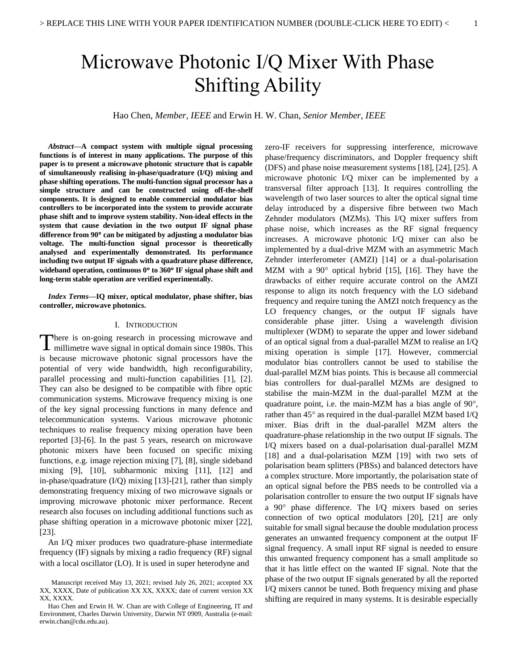# Microwave Photonic I/Q Mixer With Phase Shifting Ability

Hao Chen, *Member, IEEE* and Erwin H. W. Chan, *Senior Member, IEEE*

*Abstract***—A compact system with multiple signal processing functions is of interest in many applications. The purpose of this paper is to present a microwave photonic structure that is capable of simultaneously realising in-phase/quadrature (I/Q) mixing and phase shifting operations. The multi-function signal processor has a simple structure and can be constructed using off-the-shelf components. It is designed to enable commercial modulator bias controllers to be incorporated into the system to provide accurate phase shift and to improve system stability. Non-ideal effects in the system that cause deviation in the two output IF signal phase difference from 90 can be mitigated by adjusting a modulator bias voltage. The multi-function signal processor is theoretically analysed and experimentally demonstrated. Its performance including two output IF signals with a quadrature phase difference, wideband operation, continuous 0 to 360 IF signal phase shift and long-term stable operation are verified experimentally.**

*Index Terms***—IQ mixer, optical modulator, phase shifter, bias controller, microwave photonics.**

# I. INTRODUCTION

There is on-going research in processing microwave and millimetre wave signal in optical domain since 1980s. This millimetre wave signal in optical domain since 1980s. This is because microwave photonic signal processors have the potential of very wide bandwidth, high reconfigurability, parallel processing and multi-function capabilities [1], [2]. They can also be designed to be compatible with fibre optic communication systems. Microwave frequency mixing is one of the key signal processing functions in many defence and telecommunication systems. Various microwave photonic techniques to realise frequency mixing operation have been reported [3]-[6]. In the past 5 years, research on microwave photonic mixers have been focused on specific mixing functions, e.g. image rejection mixing [7], [8], single sideband mixing [9], [10], subharmonic mixing [11], [12] and in-phase/quadrature (I/Q) mixing [13]-[21], rather than simply demonstrating frequency mixing of two microwave signals or improving microwave photonic mixer performance. Recent research also focuses on including additional functions such as phase shifting operation in a microwave photonic mixer [22], [23].

An I/Q mixer produces two quadrature-phase intermediate frequency (IF) signals by mixing a radio frequency (RF) signal with a local oscillator (LO). It is used in super heterodyne and

zero-IF receivers for suppressing interference, microwave phase/frequency discriminators, and Doppler frequency shift (DFS) and phase noise measurement systems [18], [24], [25]. A microwave photonic I/Q mixer can be implemented by a transversal filter approach [13]. It requires controlling the wavelength of two laser sources to alter the optical signal time delay introduced by a dispersive fibre between two Mach Zehnder modulators (MZMs). This I/Q mixer suffers from phase noise, which increases as the RF signal frequency increases. A microwave photonic I/Q mixer can also be implemented by a dual-drive MZM with an asymmetric Mach Zehnder interferometer (AMZI) [14] or a dual-polarisation MZM with a  $90^{\circ}$  optical hybrid [15], [16]. They have the drawbacks of either require accurate control on the AMZI response to align its notch frequency with the LO sideband frequency and require tuning the AMZI notch frequency as the LO frequency changes, or the output IF signals have considerable phase jitter. Using a wavelength division multiplexer (WDM) to separate the upper and lower sideband of an optical signal from a dual-parallel MZM to realise an I/Q mixing operation is simple [17]. However, commercial modulator bias controllers cannot be used to stabilise the dual-parallel MZM bias points. This is because all commercial bias controllers for dual-parallel MZMs are designed to stabilise the main-MZM in the dual-parallel MZM at the quadrature point, i.e. the main-MZM has a bias angle of  $90^{\circ}$ , rather than  $45^{\circ}$  as required in the dual-parallel MZM based I/Q mixer. Bias drift in the dual-parallel MZM alters the quadrature-phase relationship in the two output IF signals. The I/Q mixers based on a dual-polarisation dual-parallel MZM [18] and a dual-polarisation MZM [19] with two sets of polarisation beam splitters (PBSs) and balanced detectors have a complex structure. More importantly, the polarisation state of an optical signal before the PBS needs to be controlled via a polarisation controller to ensure the two output IF signals have a 90° phase difference. The I/Q mixers based on series connection of two optical modulators [20], [21] are only suitable for small signal because the double modulation process generates an unwanted frequency component at the output IF signal frequency. A small input RF signal is needed to ensure this unwanted frequency component has a small amplitude so that it has little effect on the wanted IF signal. Note that the phase of the two output IF signals generated by all the reported I/Q mixers cannot be tuned. Both frequency mixing and phase shifting are required in many systems. It is desirable especially

Manuscript received May 13, 2021; revised July 26, 2021; accepted XX XX, XXXX, Date of publication XX XX, XXXX; date of current version XX XX, XXXX.

Hao Chen and Erwin H. W. Chan are with College of Engineering, IT and Environment, Charles Darwin University, Darwin NT 0909, Australia (e-mail: erwin.chan@cdu.edu.au).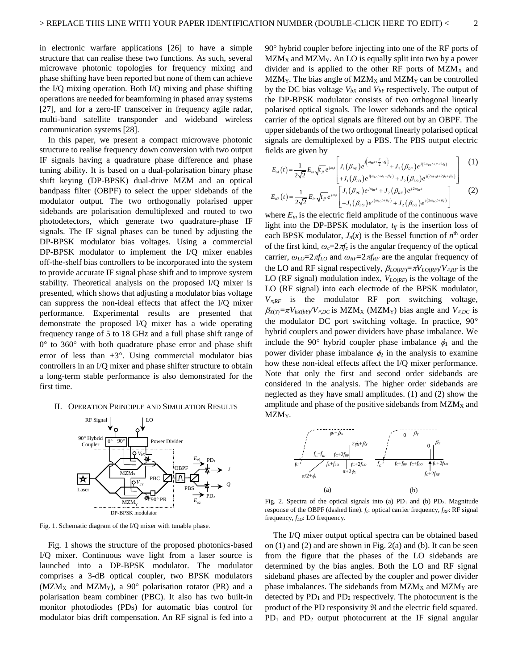in electronic warfare applications [26] to have a simple structure that can realise these two functions. As such, several microwave photonic topologies for frequency mixing and phase shifting have been reported but none of them can achieve the I/Q mixing operation. Both I/Q mixing and phase shifting operations are needed for beamforming in phased array systems [27], and for a zero-IF transceiver in frequency agile radar, multi-band satellite transponder and wideband wireless communication systems [28].

In this paper, we present a compact microwave photonic structure to realise frequency down conversion with two output IF signals having a quadrature phase difference and phase tuning ability. It is based on a dual-polarisation binary phase shift keying (DP-BPSK) dual-drive MZM and an optical bandpass filter (OBPF) to select the upper sidebands of the modulator output. The two orthogonally polarised upper sidebands are polarisation demultiplexed and routed to two photodetectors, which generate two quadrature-phase IF signals. The IF signal phases can be tuned by adjusting the DP-BPSK modulator bias voltages. Using a commercial DP-BPSK modulator to implement the I/Q mixer enables off-the-shelf bias controllers to be incorporated into the system to provide accurate IF signal phase shift and to improve system stability. Theoretical analysis on the proposed I/Q mixer is presented, which shows that adjusting a modulator bias voltage can suppress the non-ideal effects that affect the I/Q mixer performance. Experimental results are presented that demonstrate the proposed I/Q mixer has a wide operating frequency range of 5 to 18 GHz and a full phase shift range of  $0^{\circ}$  to 360 $^{\circ}$  with both quadrature phase error and phase shift error of less than  $\pm 3^{\circ}$ . Using commercial modulator bias controllers in an I/Q mixer and phase shifter structure to obtain a long-term stable performance is also demonstrated for the first time.

# II. OPERATION PRINCIPLE AND SIMULATION RESULTS



Fig. 1. Schematic diagram of the I/Q mixer with tunable phase.

Fig. 1 shows the structure of the proposed photonics-based I/Q mixer. Continuous wave light from a laser source is launched into a DP-BPSK modulator. The modulator comprises a 3-dB optical coupler, two BPSK modulators (MZM<sub>X</sub> and MZM<sub>Y</sub>), a 90 $^{\circ}$  polarisation rotator (PR) and a polarisation beam combiner (PBC). It also has two built-in monitor photodiodes (PDs) for automatic bias control for modulator bias drift compensation. An RF signal is fed into a 90 hybrid coupler before injecting into one of the RF ports of  $MZM_X$  and  $MZM_Y$ . An LO is equally split into two by a power divider and is applied to the other RF ports of  $M Z M_X$  and  $MZM_Y$ . The bias angle of  $MZM_X$  and  $MZM_Y$  can be controlled by the DC bias voltage *VbX* and *VbY* respectively. The output of the DP-BPSK modulator consists of two orthogonal linearly polarised optical signals. The lower sidebands and the optical carrier of the optical signals are filtered out by an OBPF. The upper sidebands of the two orthogonal linearly polarised optical signals are demultiplexed by a PBS. The PBS output electric<br>fields are given by<br> $E(\lambda) = \frac{1}{\pi} \sum_{i=1}^{\infty} \left[ \frac{J_{i}(\beta_{i\pi})e^{i(\alpha_{i\pi}t + \frac{\pi}{2} + \phi)}}{J_{i}(\beta_{i\pi})e^{i(\alpha_{i\pi}t + \pi + 2\phi)}} \right]$  (1)

fields are given by  
\n
$$
E_{01}(t) = \frac{1}{2\sqrt{2}} E_{in} \sqrt{I_{ff}} e^{j\omega_x} \left[ J_1(\beta_{RF}) e^{j(\omega_{RF} + \frac{\pi}{2} + \phi)} + J_2(\beta_{RF}) e^{j(2\omega_{RF} + \pi + 2\phi)} \right]
$$
\n
$$
= \frac{1}{2\sqrt{2}} E_{in} \sqrt{I_{ff}} e^{j\omega_x} \left[ J_1(\beta_{LP}) e^{j(\omega_{tot} + \phi_2 + \beta_x)} + J_2(\beta_{LP}) e^{j(2\omega_{tot} + 2\phi_2 + \beta_x)} \right]
$$
\n
$$
= E_{01}(t) = \frac{1}{\sqrt{2}} E_{in} \sqrt{I_{in}} e^{j\omega_x} \left[ J_1(\beta_{RF}) e^{j\omega_{RF}t} + J_2(\beta_{RF}) e^{j2\omega_{RF}t} \right]
$$
\n(2)

$$
2\sqrt{2}
$$
\n
$$
+J_{1}(\beta_{LO})e^{j(\omega_{LO}+\beta_{\chi})}+J_{2}(\beta_{LO})e^{j(\omega_{LO}+\beta_{\chi}+\beta_{\chi})}\n\n= \frac{1}{2\sqrt{2}}E_{in}\sqrt{t_{ff}}e^{j\omega_{\chi}t}\left[J_{1}(\beta_{RF})e^{j\omega_{RF}t}+J_{2}(\beta_{RF})e^{j2\omega_{RF}t}\n\n+J_{1}(\beta_{LO})e^{j(\omega_{LO}+\beta_{\chi})}+J_{2}(\beta_{LO})e^{j(2\omega_{LO}+\beta_{\chi})}\n\right]
$$
\n(2)

where  $E_{in}$  is the electric field amplitude of the continuous wave light into the DP-BPSK modulator, *tff* is the insertion loss of each BPSK modulator,  $J_n(x)$  is the Bessel function of  $n^{\text{th}}$  order of the first kind,  $\omega_c = 2\pi f_c$  is the angular frequency of the optical carrier,  $\omega_{LO} = 2 \pi f_{LO}$  and  $\omega_{RF} = 2 \pi f_{RF}$  are the angular frequency of the LO and RF signal respectively,  $\beta_{LO(RF)} = \pi V_{LO(RF)} / V_{\pi RF}$  is the LO (RF signal) modulation index, *VLO*(*RF*) is the voltage of the LO (RF signal) into each electrode of the BPSK modulator,  $V_{\pi RF}$  is the modulator RF port switching voltage,  $\beta_{X(Y)} = \pi V_{bX(bY)} V_{\pi DC}$  is MZM<sub>X</sub> (MZM<sub>Y</sub>) bias angle and  $V_{\pi DC}$  is the modulator DC port switching voltage. In practice, 90 hybrid couplers and power dividers have phase imbalance. We include the 90° hybrid coupler phase imbalance  $\phi_1$  and the power divider phase imbalance  $\phi_2$  in the analysis to examine how these non-ideal effects affect the I/Q mixer performance. Note that only the first and second order sidebands are considered in the analysis. The higher order sidebands are neglected as they have small amplitudes. (1) and (2) show the amplitude and phase of the positive sidebands from  $MZM_X$  and MZM<sub>Y</sub>.



Fig. 2. Spectra of the optical signals into (a)  $PD_1$  and (b)  $PD_2$ . Magnitude response of the OBPF (dashed line). *fc*: optical carrier frequency, *fRF*: RF signal frequency, *fLO*: LO frequency.

The I/Q mixer output optical spectra can be obtained based on (1) and (2) and are shown in Fig. 2(a) and (b). It can be seen from the figure that the phases of the LO sidebands are determined by the bias angles. Both the LO and RF signal sideband phases are affected by the coupler and power divider phase imbalances. The sidebands from  $MZM_X$  and  $MZM_Y$  are detected by  $PD_1$  and  $PD_2$  respectively. The photocurrent is the product of the PD responsivity  $\Re$  and the electric field squared.  $PD_1$  and  $PD_2$  output photocurrent at the IF signal angular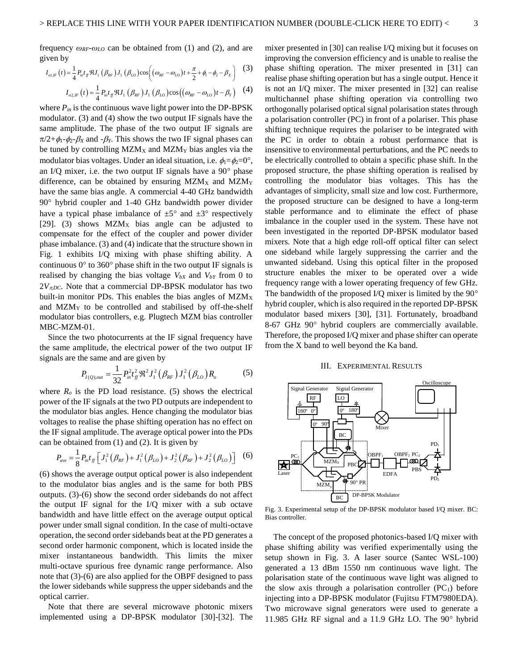$$
I_{o l, l r}(t) = \frac{1}{4} P_{n} t_{f l} \mathfrak{R} J_{1} \left( \beta_{k r} \right) J_{1} \left( \beta_{l} \right) \cos \left( \left( \omega_{k r} - \omega_{l} \right) t + \frac{\pi}{2} + \phi_{l} - \phi_{2} - \beta_{x} \right)
$$
 (3)

$$
J = \frac{1}{4} P_{in} t_{f} \Re J_1 (\beta_{RF}) J_1 (\beta_{LO}) \cos[(\omega_{RF} - \omega_{LO})t + \frac{1}{2} + \phi_1 - \phi_2 - \beta_X]
$$
  

$$
I_{o2,IF}(t) = \frac{1}{4} P_{in} t_{f} \Re J_1 (\beta_{RF}) J_1 (\beta_{LO}) \cos((\omega_{RF} - \omega_{LO})t - \beta_Y)
$$
 (4)

where  $P_{in}$  is the continuous wave light power into the DP-BPSK modulator. (3) and (4) show the two output IF signals have the same amplitude. The phase of the two output IF signals are  $\pi/2+\phi_1-\phi_2-\beta_X$  and  $-\beta_Y$ . This shows the two IF signal phases can be tuned by controlling  $MZM_X$  and  $MZM_Y$  bias angles via the modulator bias voltages. Under an ideal situation, i.e.  $\phi_1 = \phi_2 = 0^\circ$ , an I/Q mixer, i.e. the two output IF signals have a  $90^\circ$  phase difference, can be obtained by ensuring  $MZM_X$  and  $MZM_Y$ have the same bias angle. A commercial 4-40 GHz bandwidth  $90^\circ$  hybrid coupler and 1-40 GHz bandwidth power divider have a typical phase imbalance of  $\pm 5^{\circ}$  and  $\pm 3^{\circ}$  respectively [29]. (3) shows  $MZM_X$  bias angle can be adjusted to compensate for the effect of the coupler and power divider phase imbalance. (3) and (4) indicate that the structure shown in Fig. 1 exhibits I/Q mixing with phase shifting ability. A continuous  $0^{\circ}$  to 360° phase shift in the two output IF signals is realised by changing the bias voltage  $V_{bX}$  and  $V_{bY}$  from 0 to  $2V_{\pi DC}$ . Note that a commercial DP-BPSK modulator has two built-in monitor PDs. This enables the bias angles of  $MZM_X$ and MZM<sup>Y</sup> to be controlled and stabilised by off-the-shelf modulator bias controllers, e.g. Plugtech MZM bias controller MBC-MZM-01.

Since the two photocurrents at the IF signal frequency have the same amplitude, the electrical power of the two output IF signals are the same and are given by

The same and are given by  

$$
P_{I(Q), out} = \frac{1}{32} P_{in}^2 t_{ff}^2 \Re^2 J_1^2 (\beta_{RF}) J_1^2 (\beta_{LO}) R_o
$$
(5)

where  $R<sub>o</sub>$  is the PD load resistance. (5) shows the electrical power of the IF signals at the two PD outputs are independent to the modulator bias angles. Hence changing the modulator bias voltages to realise the phase shifting operation has no effect on the IF signal amplitude. The average optical power into the PDs can be obtained from (1) and (2). It is given by<br>  $P = \frac{1}{2} P_t t_{\infty} [J_{\infty}^2 (\beta_{\infty}) + J_{\infty}^2 (\beta_{\infty}) + J_{\infty}^2 (\beta_{\infty}) + J_{\infty}^2$ 

e obtained from (1) and (2). It is given by  
\n
$$
P_{ave} = \frac{1}{8} P_{in} t_{ff} \left[ J_1^2 (\beta_{RF}) + J_1^2 (\beta_{LO}) + J_2^2 (\beta_{RF}) + J_2^2 (\beta_{LO}) \right]
$$
 (6)

(6) shows the average output optical power is also independent to the modulator bias angles and is the same for both PBS outputs. (3)-(6) show the second order sidebands do not affect the output IF signal for the I/Q mixer with a sub octave bandwidth and have little effect on the average output optical power under small signal condition. In the case of multi-octave operation, the second order sidebands beat at the PD generates a second order harmonic component, which is located inside the mixer instantaneous bandwidth. This limits the mixer multi-octave spurious free dynamic range performance. Also note that (3)-(6) are also applied for the OBPF designed to pass the lower sidebands while suppress the upper sidebands and the optical carrier.

Note that there are several microwave photonic mixers implemented using a DP-BPSK modulator [30]-[32]. The mixer presented in [30] can realise I/Q mixing but it focuses on improving the conversion efficiency and is unable to realise the phase shifting operation. The mixer presented in [31] can realise phase shifting operation but has a single output. Hence it is not an I/Q mixer. The mixer presented in [32] can realise multichannel phase shifting operation via controlling two orthogonally polarised optical signal polarisation states through a polarisation controller (PC) in front of a polariser. This phase shifting technique requires the polariser to be integrated with the PC in order to obtain a robust performance that is insensitive to environmental perturbations, and the PC needs to be electrically controlled to obtain a specific phase shift. In the proposed structure, the phase shifting operation is realised by controlling the modulator bias voltages. This has the advantages of simplicity, small size and low cost. Furthermore, the proposed structure can be designed to have a long-term stable performance and to eliminate the effect of phase imbalance in the coupler used in the system. These have not been investigated in the reported DP-BPSK modulator based mixers. Note that a high edge roll-off optical filter can select one sideband while largely suppressing the carrier and the unwanted sideband. Using this optical filter in the proposed structure enables the mixer to be operated over a wide frequency range with a lower operating frequency of few GHz. The bandwidth of the proposed I/Q mixer is limited by the  $90^\circ$ hybrid coupler, which is also required in the reported DP-BPSK modulator based mixers [30], [31]. Fortunately, broadband 8-67 GHz 90° hybrid couplers are commercially available. Therefore, the proposed I/Q mixer and phase shifter can operate from the X band to well beyond the Ka band.

#### III. EXPERIMENTAL RESULTS



Fig. 3. Experimental setup of the DP-BPSK modulator based I/Q mixer. BC: Bias controller.

The concept of the proposed photonics-based I/Q mixer with phase shifting ability was verified experimentally using the setup shown in Fig. 3. A laser source (Santec WSL-100) generated a 13 dBm 1550 nm continuous wave light. The polarisation state of the continuous wave light was aligned to the slow axis through a polarisation controller  $(PC_1)$  before injecting into a DP-BPSK modulator (Fujitsu FTM7980EDA). Two microwave signal generators were used to generate a 11.985 GHz RF signal and a 11.9 GHz LO. The 90° hybrid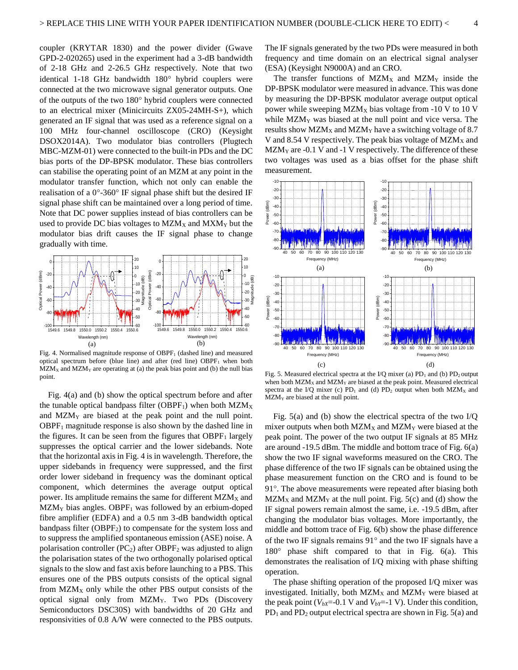coupler (KRYTAR 1830) and the power divider (Gwave GPD-2-020265) used in the experiment had a 3-dB bandwidth of 2-18 GHz and 2-26.5 GHz respectively. Note that two identical 1-18 GHz bandwidth 180° hybrid couplers were connected at the two microwave signal generator outputs. One of the outputs of the two  $180^\circ$  hybrid couplers were connected to an electrical mixer (Minicircuits ZX05-24MH-S+), which generated an IF signal that was used as a reference signal on a 100 MHz four-channel oscilloscope (CRO) (Keysight DSOX2014A). Two modulator bias controllers (Plugtech MBC-MZM-01) were connected to the built-in PDs and the DC bias ports of the DP-BPSK modulator. These bias controllers can stabilise the operating point of an MZM at any point in the modulator transfer function, which not only can enable the realisation of a  $0^{\circ}$ -360 $^{\circ}$  IF signal phase shift but the desired IF signal phase shift can be maintained over a long period of time. Note that DC power supplies instead of bias controllers can be used to provide DC bias voltages to  $MZM_X$  and  $MXM_Y$  but the modulator bias drift causes the IF signal phase to change gradually with time.



Fig. 4. Normalised magnitude response of OBPF<sub>1</sub> (dashed line) and measured optical spectrum before (blue line) and after (red line)  $OBPF<sub>1</sub>$  when both  $MZM_X$  and  $MZM_Y$  are operating at (a) the peak bias point and (b) the null bias point.

Fig. 4(a) and (b) show the optical spectrum before and after the tunable optical bandpass filter (OBPF<sub>1</sub>) when both  $MZM_X$ and MZM<sup>Y</sup> are biased at the peak point and the null point.  $OBPF<sub>1</sub>$  magnitude response is also shown by the dashed line in the figures. It can be seen from the figures that  $OBPF<sub>1</sub>$  largely suppresses the optical carrier and the lower sidebands. Note that the horizontal axis in Fig. 4 is in wavelength. Therefore, the upper sidebands in frequency were suppressed, and the first order lower sideband in frequency was the dominant optical component, which determines the average output optical power. Its amplitude remains the same for different  $MZM_X$  and  $MZM<sub>Y</sub>$  bias angles. OBPF<sub>1</sub> was followed by an erbium-doped fibre amplifier (EDFA) and a 0.5 nm 3-dB bandwidth optical bandpass filter (OBPF<sub>2</sub>) to compensate for the system loss and to suppress the amplified spontaneous emission (ASE) noise. A polarisation controller (PC<sub>2</sub>) after OBPF<sub>2</sub> was adjusted to align the polarisation states of the two orthogonally polarised optical signals to the slow and fast axis before launching to a PBS. This ensures one of the PBS outputs consists of the optical signal from MZM<sup>X</sup> only while the other PBS output consists of the optical signal only from MZMY. Two PDs (Discovery Semiconductors DSC30S) with bandwidths of 20 GHz and responsivities of 0.8 A/W were connected to the PBS outputs.

The IF signals generated by the two PDs were measured in both frequency and time domain on an electrical signal analyser (ESA) (Keysight N9000A) and an CRO.

The transfer functions of  $MZM_X$  and  $MZM_Y$  inside the DP-BPSK modulator were measured in advance. This was done by measuring the DP-BPSK modulator average output optical power while sweeping  $MZM_X$  bias voltage from -10 V to 10 V while MZM<sup>Y</sup> was biased at the null point and vice versa. The results show  $MZM_X$  and  $MZM_Y$  have a switching voltage of 8.7 V and 8.54 V respectively. The peak bias voltage of  $MZM_X$  and  $MZM<sub>Y</sub>$  are -0.1 V and -1 V respectively. The difference of these two voltages was used as a bias offset for the phase shift measurement.



Fig. 5. Measured electrical spectra at the I/Q mixer (a)  $PD_1$  and (b)  $PD_2$  output when both  $MZM_X$  and  $MZM_Y$  are biased at the peak point. Measured electrical spectra at the I/Q mixer (c)  $PD_1$  and (d)  $PD_2$  output when both  $MZM_X$  and  $MZM<sub>y</sub>$  are biased at the null point.

Fig. 5(a) and (b) show the electrical spectra of the two I/Q mixer outputs when both  $MZM_X$  and  $MZM_Y$  were biased at the peak point. The power of the two output IF signals at 85 MHz are around -19.5 dBm. The middle and bottom trace of Fig. 6(a) show the two IF signal waveforms measured on the CRO. The phase difference of the two IF signals can be obtained using the phase measurement function on the CRO and is found to be 91°. The above measurements were repeated after biasing both  $MZM_X$  and  $MZM_Y$  at the null point. Fig. 5(c) and (d) show the IF signal powers remain almost the same, i.e. -19.5 dBm, after changing the modulator bias voltages. More importantly, the middle and bottom trace of Fig. 6(b) show the phase difference of the two IF signals remains  $91^\circ$  and the two IF signals have a  $180^\circ$  phase shift compared to that in Fig.  $6(a)$ . This demonstrates the realisation of I/Q mixing with phase shifting operation.

The phase shifting operation of the proposed I/Q mixer was investigated. Initially, both  $MZM_X$  and  $MZM_Y$  were biased at the peak point ( $V_{bX}$ =-0.1 V and  $V_{bY}$ =-1 V). Under this condition,  $PD_1$  and  $PD_2$  output electrical spectra are shown in Fig. 5(a) and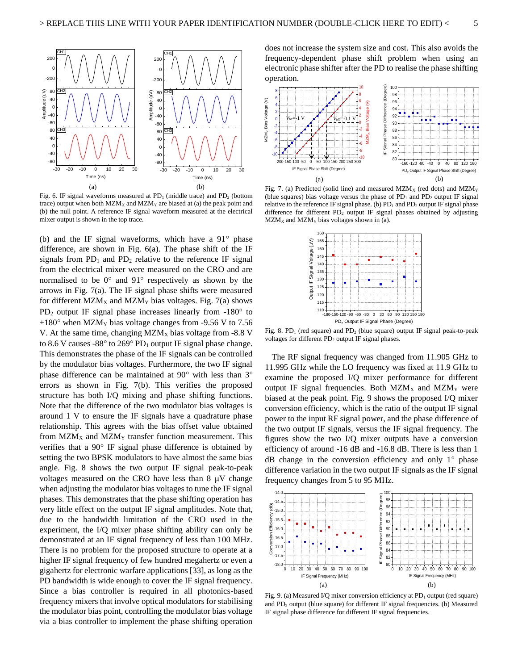

Fig. 6. IF signal waveforms measured at  $PD_1$  (middle trace) and  $PD_2$  (bottom trace) output when both  $MZM_X$  and  $MZM_Y$  are biased at (a) the peak point and (b) the null point. A reference IF signal waveform measured at the electrical mixer output is shown in the top trace.

(b) and the IF signal waveforms, which have a  $91^\circ$  phase difference, are shown in Fig. 6(a). The phase shift of the IF signals from  $PD_1$  and  $PD_2$  relative to the reference IF signal from the electrical mixer were measured on the CRO and are normalised to be  $0^{\circ}$  and  $91^{\circ}$  respectively as shown by the arrows in Fig. 7(a). The IF signal phase shifts were measured for different  $MZM_X$  and  $MZM_Y$  bias voltages. Fig. 7(a) shows  $PD_2$  output IF signal phase increases linearly from  $-180^\circ$  to  $+180^\circ$  when MZM<sub>Y</sub> bias voltage changes from -9.56 V to 7.56 V. At the same time, changing  $MZM_X$  bias voltage from -8.8 V to 8.6 V causes -88 $\degree$  to 269 $\degree$  PD<sub>1</sub> output IF signal phase change. This demonstrates the phase of the IF signals can be controlled by the modulator bias voltages. Furthermore, the two IF signal phase difference can be maintained at  $90^{\circ}$  with less than  $3^{\circ}$ errors as shown in Fig. 7(b). This verifies the proposed structure has both I/Q mixing and phase shifting functions. Note that the difference of the two modulator bias voltages is around 1 V to ensure the IF signals have a quadrature phase relationship. This agrees with the bias offset value obtained from  $MZM_X$  and  $MZM_Y$  transfer function measurement. This verifies that a  $90^{\circ}$  IF signal phase difference is obtained by setting the two BPSK modulators to have almost the same bias angle. Fig. 8 shows the two output IF signal peak-to-peak voltages measured on the CRO have less than  $8 \mu V$  change when adjusting the modulator bias voltages to tune the IF signal phases. This demonstrates that the phase shifting operation has very little effect on the output IF signal amplitudes. Note that, due to the bandwidth limitation of the CRO used in the experiment, the I/Q mixer phase shifting ability can only be demonstrated at an IF signal frequency of less than 100 MHz. There is no problem for the proposed structure to operate at a higher IF signal frequency of few hundred megahertz or even a gigahertz for electronic warfare applications [33], as long as the PD bandwidth is wide enough to cover the IF signal frequency. Since a bias controller is required in all photonics-based frequency mixers that involve optical modulators for stabilising the modulator bias point, controlling the modulator bias voltage via a bias controller to implement the phase shifting operation

does not increase the system size and cost. This also avoids the frequency-dependent phase shift problem when using an electronic phase shifter after the PD to realise the phase shifting operation.



Fig. 7. (a) Predicted (solid line) and measured  $MZM_X$  (red dots) and  $MZM_Y$ (blue squares) bias voltage versus the phase of  $PD_1$  and  $PD_2$  output IF signal relative to the reference IF signal phase. (b)  $PD_1$  and  $PD_2$  output IF signal phase difference for different  $PD_2$  output IF signal phases obtained by adjusting  $MZM_X$  and  $MZM_Y$  bias voltages shown in (a).



Fig. 8. PD<sub>1</sub> (red square) and PD<sub>2</sub> (blue square) output IF signal peak-to-peak voltages for different PD<sub>2</sub> output IF signal phases.

The RF signal frequency was changed from 11.905 GHz to 11.995 GHz while the LO frequency was fixed at 11.9 GHz to examine the proposed I/Q mixer performance for different output IF signal frequencies. Both  $MZM_X$  and  $MZM_Y$  were biased at the peak point. Fig. 9 shows the proposed I/Q mixer conversion efficiency, which is the ratio of the output IF signal power to the input RF signal power, and the phase difference of the two output IF signals, versus the IF signal frequency. The figures show the two I/Q mixer outputs have a conversion efficiency of around -16 dB and -16.8 dB. There is less than 1  $dB$  change in the conversion efficiency and only  $1^{\circ}$  phase difference variation in the two output IF signals as the IF signal frequency changes from 5 to 95 MHz.



Fig. 9. (a) Measured I/Q mixer conversion efficiency at PD<sub>1</sub> output (red square) and  $PD_2$  output (blue square) for different IF signal frequencies. (b) Measured IF signal phase difference for different IF signal frequencies.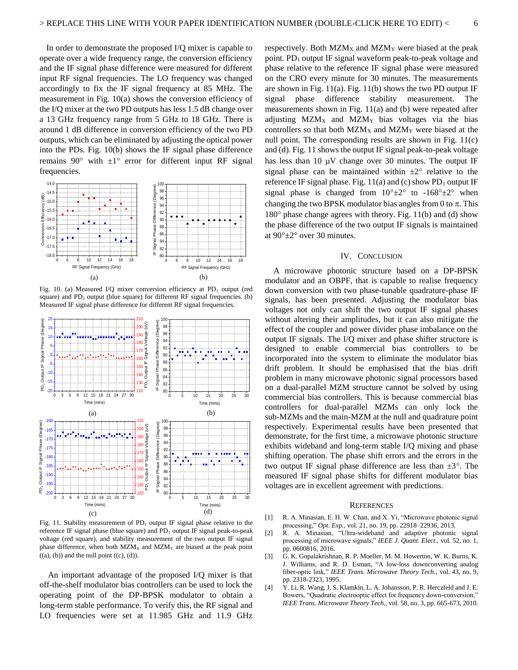In order to demonstrate the proposed I/Q mixer is capable to operate over a wide frequency range, the conversion efficiency and the IF signal phase difference were measured for different input RF signal frequencies. The LO frequency was changed accordingly to fix the IF signal frequency at 85 MHz. The measurement in Fig. 10(a) shows the conversion efficiency of the I/Q mixer at the two PD outputs has less 1.5 dB change over a 13 GHz frequency range from 5 GHz to 18 GHz. There is around 1 dB difference in conversion efficiency of the two PD outputs, which can be eliminated by adjusting the optical power into the PDs. Fig. 10(b) shows the IF signal phase difference remains 90 $^{\circ}$  with  $\pm 1^{\circ}$  error for different input RF signal frequencies.



Fig. 10. (a) Measured I/Q mixer conversion efficiency at PD<sub>1</sub> output (red square) and  $PD_2$  output (blue square) for different RF signal frequencies. (b) Measured IF signal phase difference for different RF signal frequencies.



Fig. 11. Stability measurement of  $PD_1$  output IF signal phase relative to the reference IF signal phase (blue square) and  $PD_1$  output IF signal peak-to-peak voltage (red square), and stability measurement of the two output IF signal phase difference, when both  $MZM_X$  and  $MZM_Y$  are biased at the peak point  $((a), (b))$  and the null point  $((c), (d))$ .

An important advantage of the proposed I/Q mixer is that off-the-shelf modulator bias controllers can be used to lock the operating point of the DP-BPSK modulator to obtain a long-term stable performance. To verify this, the RF signal and LO frequencies were set at 11.985 GHz and 11.9 GHz

respectively. Both  $MZM_X$  and  $MZM_Y$  were biased at the peak point.  $PD_1$  output IF signal waveform peak-to-peak voltage and phase relative to the reference IF signal phase were measured on the CRO every minute for 30 minutes. The measurements are shown in Fig. 11(a). Fig. 11(b) shows the two PD output IF signal phase difference stability measurement. The measurements shown in Fig. 11(a) and (b) were repeated after adjusting  $MZM_X$  and  $MZM_Y$  bias voltages via the bias controllers so that both  $MZM_X$  and  $MZM_Y$  were biased at the null point. The corresponding results are shown in Fig. 11(c) and (d). Fig. 11 shows the output IF signal peak-to-peak voltage has less than 10  $\mu$ V change over 30 minutes. The output IF signal phase can be maintained within  $\pm 2^{\circ}$  relative to the reference IF signal phase. Fig.  $11(a)$  and (c) show PD<sub>1</sub> output IF signal phase is changed from  $10^{\circ} \pm 2^{\circ}$  to  $-168^{\circ} \pm 2^{\circ}$  when changing the two BPSK modulator bias angles from 0 to  $\pi$ . This  $180^\circ$  phase change agrees with theory. Fig. 11(b) and (d) show the phase difference of the two output IF signals is maintained at  $90^{\circ}$ ±2° over 30 minutes.

## IV. CONCLUSION

A microwave photonic structure based on a DP-BPSK modulator and an OBPF, that is capable to realise frequency down conversion with two phase-tunable quadrature-phase IF signals, has been presented. Adjusting the modulator bias voltages not only can shift the two output IF signal phases without altering their amplitudes, but it can also mitigate the effect of the coupler and power divider phase imbalance on the output IF signals. The I/Q mixer and phase shifter structure is designed to enable commercial bias controllers to be incorporated into the system to eliminate the modulator bias drift problem. It should be emphasised that the bias drift problem in many microwave photonic signal processors based on a dual-parallel MZM structure cannot be solved by using  $\frac{1}{10}$   $\frac{1}{10}$   $\frac{1}{10}$   $\frac{20}{25}$   $\frac{30}{30}$  commercial bias controllers. This is because commercial bias controllers for dual-parallel MZMs can only lock the sub-MZMs and the main-MZM at the null and quadrature point respectively. Experimental results have been presented that demonstrate, for the first time, a microwave photonic structure exhibits wideband and long-term stable I/Q mixing and phase shifting operation. The phase shift errors and the errors in the two output IF signal phase difference are less than  $\pm 3^{\circ}$ . The measured IF signal phase shifts for different modulator bias voltages are in excellent agreement with predictions.

#### **REFERENCES**

- [1] R. A. Minasian, E. H. W. Chan, and X. Yi, "Microwave photonic signal processing," *Opt. Exp.,* vol. 21, no. 19, pp. 22918–22936, 2013.
- [2] R. A. Minasian, "Ultra-wideband and adaptive photonic signal processing of microwave signals," *IEEE J. Quant. Elect.,* vol. 52, no. 1, pp. 0600816, 2016.
- [3] G. K. Gopalakrishnan, R. P. Moeller, M. M. Howerton, W. K. Burns, K. J. Williams, and R. D. Esman, "A low-loss downconverting analog fiber-optic link," *IEEE Trans. Microwave Theory Tech.,* vol. 43, no. 9, pp. 2318-2323, 1995.
- [4] Y. Li, R. Wang, J. S. Klamkin, L. A. Johansson, P. R. Herczfeld and J. E. Bowers, "Quadratic electrooptic effect for frequency down-conversion," *IEEE Trans. Microwave Theory Tech.,* vol. 58, no. 3, pp. 665-673, 2010.